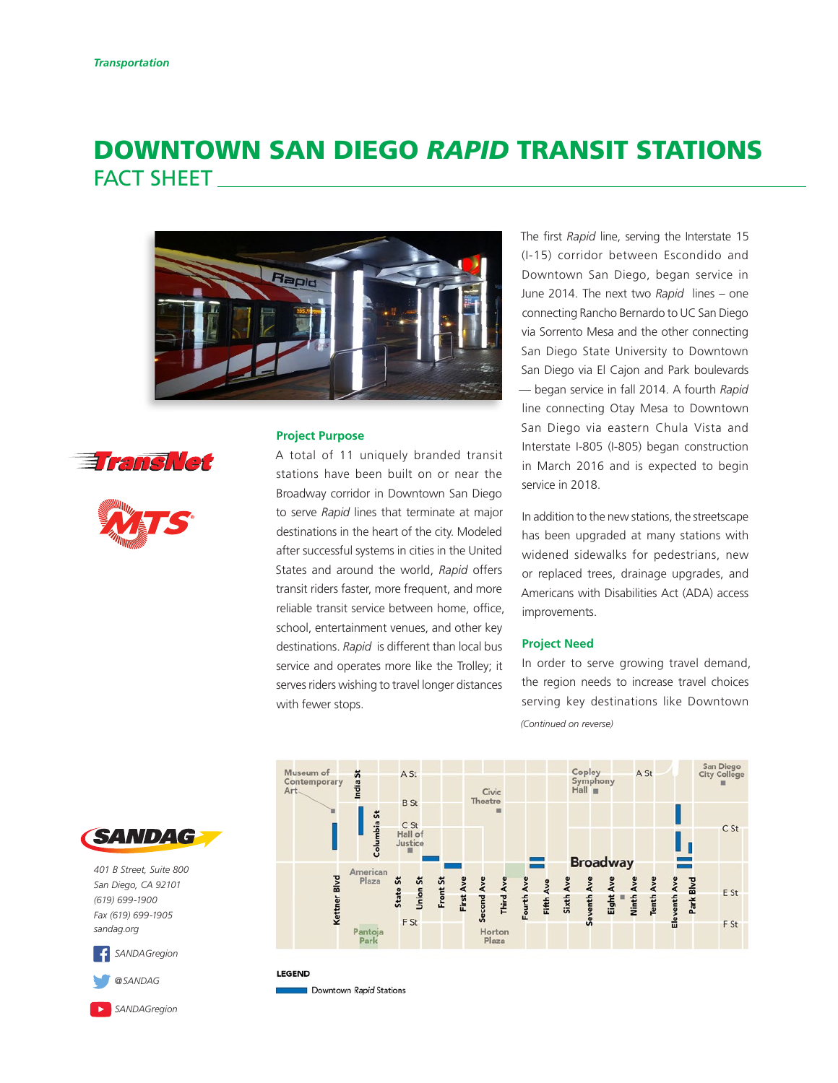# DOWNTOWN SAN DIEGO *RAPID* TRANSIT STATIONS FACT SHEET







## **Project Purpose**

A total of 11 uniquely branded transit stations have been built on or near the Broadway corridor in Downtown San Diego to serve *Rapid* lines that terminate at major destinations in the heart of the city. Modeled after successful systems in cities in the United States and around the world, *Rapid* offers transit riders faster, more frequent, and more reliable transit service between home, office, school, entertainment venues, and other key destinations. *Rapid* is different than local bus service and operates more like the Trolley; it serves riders wishing to travel longer distances with fewer stops.

The first *Rapid* line, serving the Interstate 15 (I-15) corridor between Escondido and Downtown San Diego, began service in June 2014. The next two *Rapid* lines – one connecting Rancho Bernardo to UC San Diego via Sorrento Mesa and the other connecting San Diego State University to Downtown San Diego via El Cajon and Park boulevards — began service in fall 2014. A fourth *Rapid*  line connecting Otay Mesa to Downtown San Diego via eastern Chula Vista and Interstate I-805 (I-805) began construction in March 2016 and is expected to begin service in 2018.

In addition to the new stations, the streetscape has been upgraded at many stations with widened sidewalks for pedestrians, new or replaced trees, drainage upgrades, and Americans with Disabilities Act (ADA) access improvements.

#### **Project Need**

In order to serve growing travel demand, the region needs to increase travel choices serving key destinations like Downtown

*(Continued on reverse)*





*401 B Street, Suite 800 San Diego, CA 92101 (619) 699-1900 Fax (619) 699-1905 [sandag.org](http://www.sandag.org)*

*[SANDAGregion](http://https://www.facebook.com/SANDAGregion)*



*[SANDAGregion](https://www.youtube.com/user/SANDAGREGION)*

**LEGEND** 

Downtown Rapid Stations